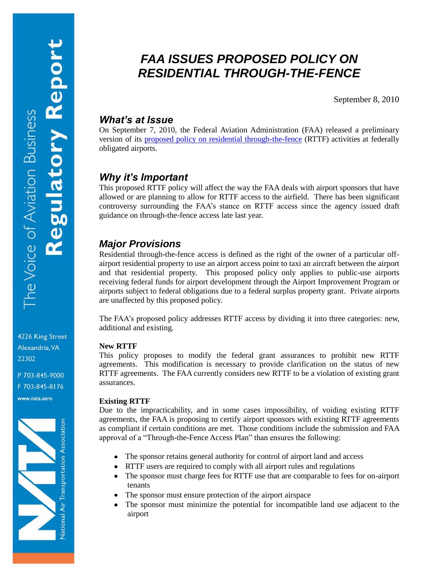4226 King Street Alexandria, VA 22302

P 703-845-9000 F 703-845-8176 www.nata.aero



# *FAA ISSUES PROPOSED POLICY ON RESIDENTIAL THROUGH-THE-FENCE*

September 8, 2010

## *What's at Issue*

On September 7, 2010, the Federal Aviation Administration (FAA) released a preliminary version of its [proposed policy on residential through-the-fence](http://www.nata.aero/data/files/gia/ttf/faa-2010-0831-0001%5b1%5d.pdf) (RTTF) activities at federally obligated airports.

# *Why it's Important*

This proposed RTTF policy will affect the way the FAA deals with airport sponsors that have allowed or are planning to allow for RTTF access to the airfield. There has been significant controversy surrounding the FAA's stance on RTTF access since the agency issued draft guidance on through-the-fence access late last year.

# *Major Provisions*

Residential through-the-fence access is defined as the right of the owner of a particular offairport residential property to use an airport access point to taxi an aircraft between the airport and that residential property. This proposed policy only applies to public-use airports receiving federal funds for airport development through the Airport Improvement Program or airports subject to federal obligations due to a federal surplus property grant. Private airports are unaffected by this proposed policy.

The FAA's proposed policy addresses RTTF access by dividing it into three categories: new, additional and existing.

#### **New RTTF**

This policy proposes to modify the federal grant assurances to prohibit new RTTF agreements. This modification is necessary to provide clarification on the status of new RTTF agreements. The FAA currently considers new RTTF to be a violation of existing grant assurances.

#### **Existing RTTF**

Due to the impracticability, and in some cases impossibility, of voiding existing RTTF agreements, the FAA is proposing to certify airport sponsors with existing RTTF agreements as compliant if certain conditions are met. Those conditions include the submission and FAA approval of a "Through-the-Fence Access Plan" than ensures the following:

- The sponsor retains general authority for control of airport land and access
- RTTF users are required to comply with all airport rules and regulations
- The sponsor must charge fees for RTTF use that are comparable to fees for on-airport tenants
- The sponsor must ensure protection of the airport airspace
- The sponsor must minimize the potential for incompatible land use adjacent to the airport